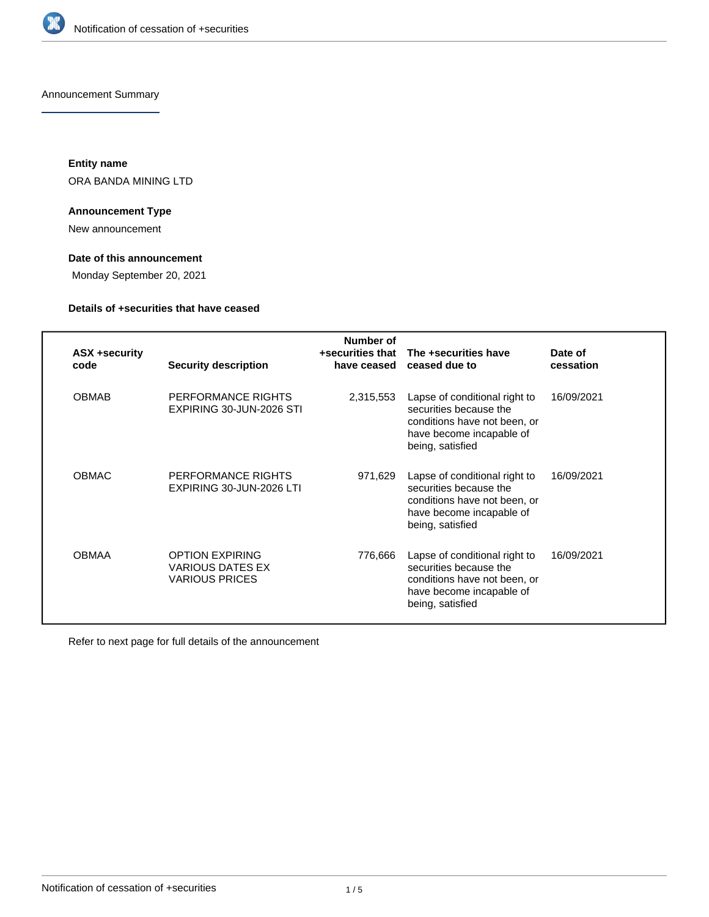

Announcement Summary

**Entity name** ORA BANDA MINING LTD

## **Announcement Type**

New announcement

# **Date of this announcement**

Monday September 20, 2021

# **Details of +securities that have ceased**

| <b>ASX +security</b><br>code | <b>Security description</b>                                                | Number of<br>+securities that<br>have ceased | The +securities have<br>ceased due to                                                                                                   | Date of<br>cessation |
|------------------------------|----------------------------------------------------------------------------|----------------------------------------------|-----------------------------------------------------------------------------------------------------------------------------------------|----------------------|
| <b>OBMAB</b>                 | PERFORMANCE RIGHTS<br>EXPIRING 30-JUN-2026 STI                             | 2,315,553                                    | Lapse of conditional right to<br>securities because the<br>conditions have not been, or<br>have become incapable of<br>being, satisfied | 16/09/2021           |
| <b>OBMAC</b>                 | PERFORMANCE RIGHTS<br>EXPIRING 30-JUN-2026 LTI                             | 971,629                                      | Lapse of conditional right to<br>securities because the<br>conditions have not been, or<br>have become incapable of<br>being, satisfied | 16/09/2021           |
| <b>OBMAA</b>                 | <b>OPTION EXPIRING</b><br><b>VARIOUS DATES EX</b><br><b>VARIOUS PRICES</b> | 776,666                                      | Lapse of conditional right to<br>securities because the<br>conditions have not been, or<br>have become incapable of<br>being, satisfied | 16/09/2021           |

Refer to next page for full details of the announcement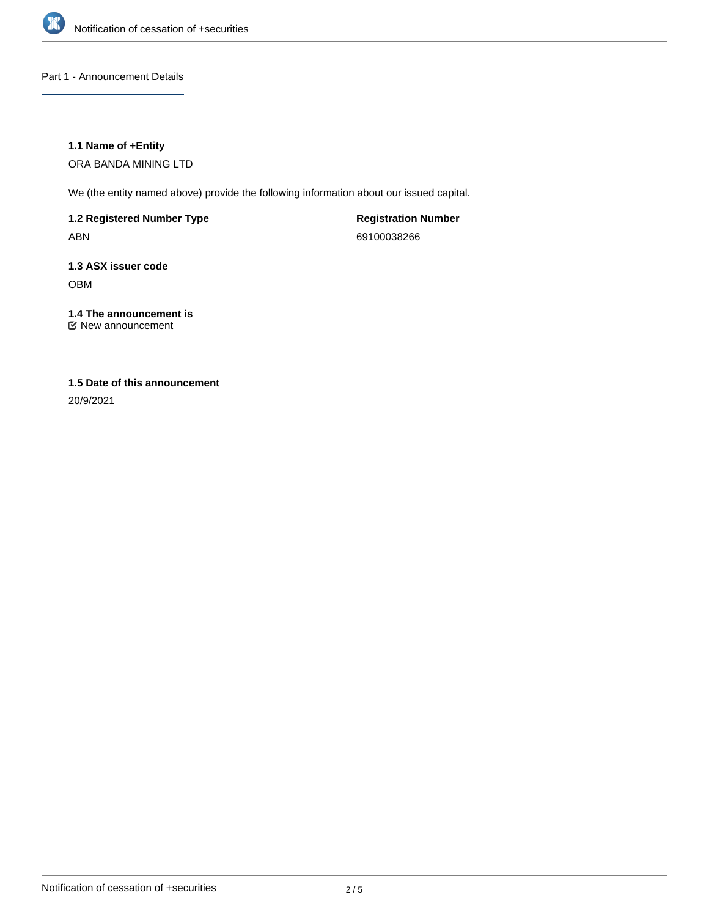

Part 1 - Announcement Details

## **1.1 Name of +Entity**

ORA BANDA MINING LTD

We (the entity named above) provide the following information about our issued capital.

**1.2 Registered Number Type** ABN

**Registration Number** 69100038266

**1.3 ASX issuer code** OBM

## **1.4 The announcement is** New announcement

**1.5 Date of this announcement**

20/9/2021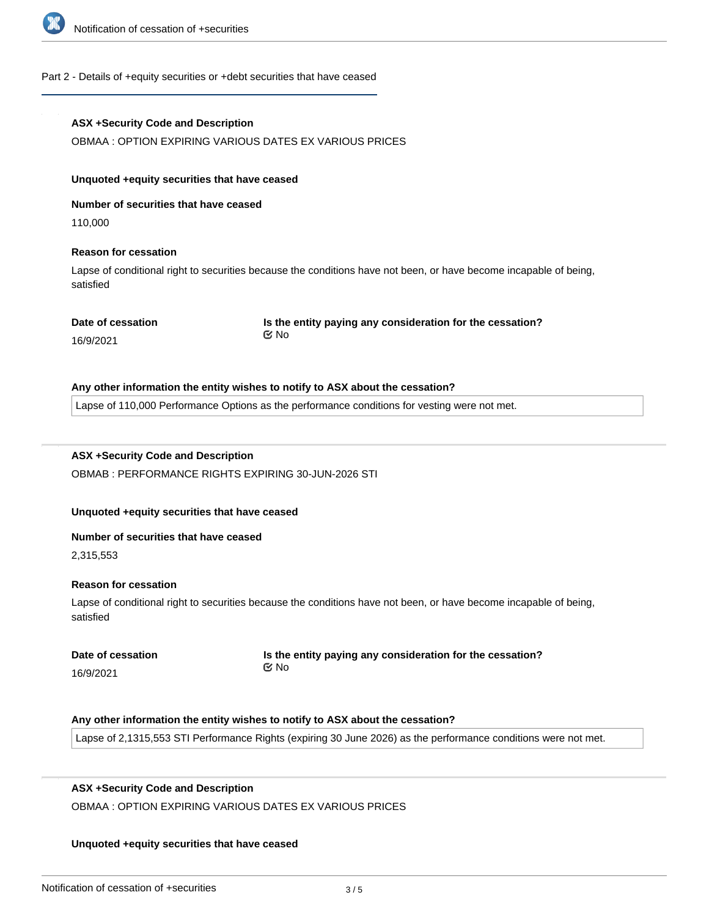

#### Part 2 - Details of +equity securities or +debt securities that have ceased

## **ASX +Security Code and Description**

OBMAA : OPTION EXPIRING VARIOUS DATES EX VARIOUS PRICES

#### **Unquoted +equity securities that have ceased**

**Number of securities that have ceased**

110,000

## **Reason for cessation**

Lapse of conditional right to securities because the conditions have not been, or have become incapable of being, satisfied

**Date of cessation**

**Is the entity paying any consideration for the cessation?** No

#### 16/9/2021

#### **Any other information the entity wishes to notify to ASX about the cessation?**

Lapse of 110,000 Performance Options as the performance conditions for vesting were not met.

# **ASX +Security Code and Description**

OBMAB : PERFORMANCE RIGHTS EXPIRING 30-JUN-2026 STI

## **Unquoted +equity securities that have ceased**

#### **Number of securities that have ceased**

2,315,553

## **Reason for cessation**

Lapse of conditional right to securities because the conditions have not been, or have become incapable of being, satisfied

|           | Date of cessation |
|-----------|-------------------|
| 16/9/2021 |                   |

**Is the entity paying any consideration for the cessation?** No

## **Any other information the entity wishes to notify to ASX about the cessation?**

Lapse of 2,1315,553 STI Performance Rights (expiring 30 June 2026) as the performance conditions were not met.

## **ASX +Security Code and Description**

**Number of securities that have ceased**

OBMAA : OPTION EXPIRING VARIOUS DATES EX VARIOUS PRICES

## **Unquoted +equity securities that have ceased**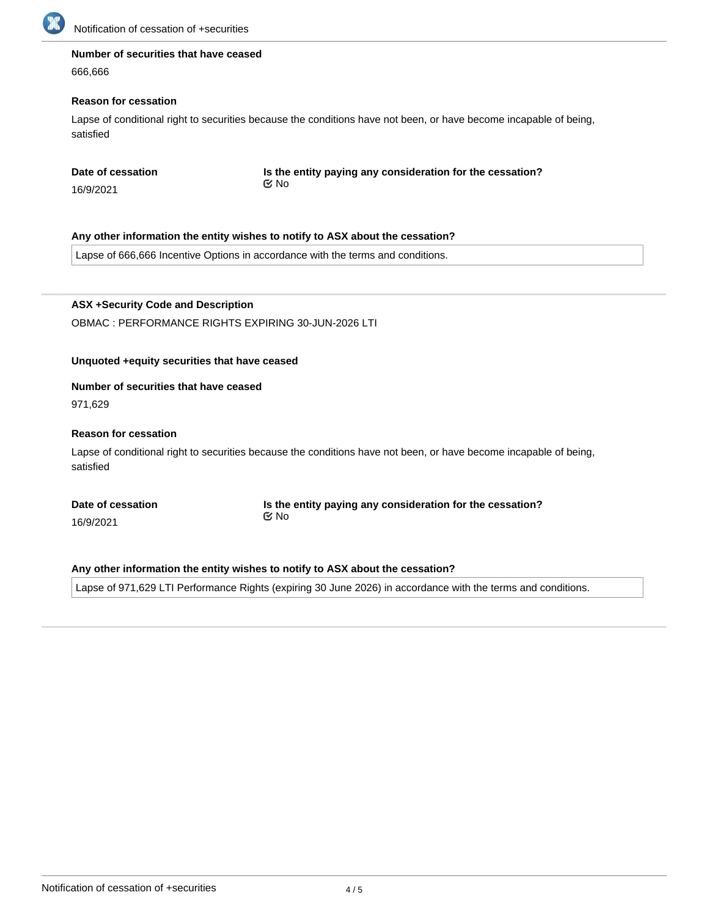

# **Number of securities that have ceased**

666,666

## **Reason for cessation**

Lapse of conditional right to securities because the conditions have not been, or have become incapable of being, satisfied

**Is the entity paying any consideration for the cessation?** No

16/9/2021

## **Any other information the entity wishes to notify to ASX about the cessation?**

Lapse of 666,666 Incentive Options in accordance with the terms and conditions.

**ASX +Security Code and Description** OBMAC : PERFORMANCE RIGHTS EXPIRING 30-JUN-2026 LTI

# **Unquoted +equity securities that have ceased**

## **Number of securities that have ceased**

971,629

## **Reason for cessation**

Lapse of conditional right to securities because the conditions have not been, or have become incapable of being, satisfied

**Date of cessation**

16/9/2021

**Is the entity paying any consideration for the cessation?** No

## **Any other information the entity wishes to notify to ASX about the cessation?**

Lapse of 971,629 LTI Performance Rights (expiring 30 June 2026) in accordance with the terms and conditions.